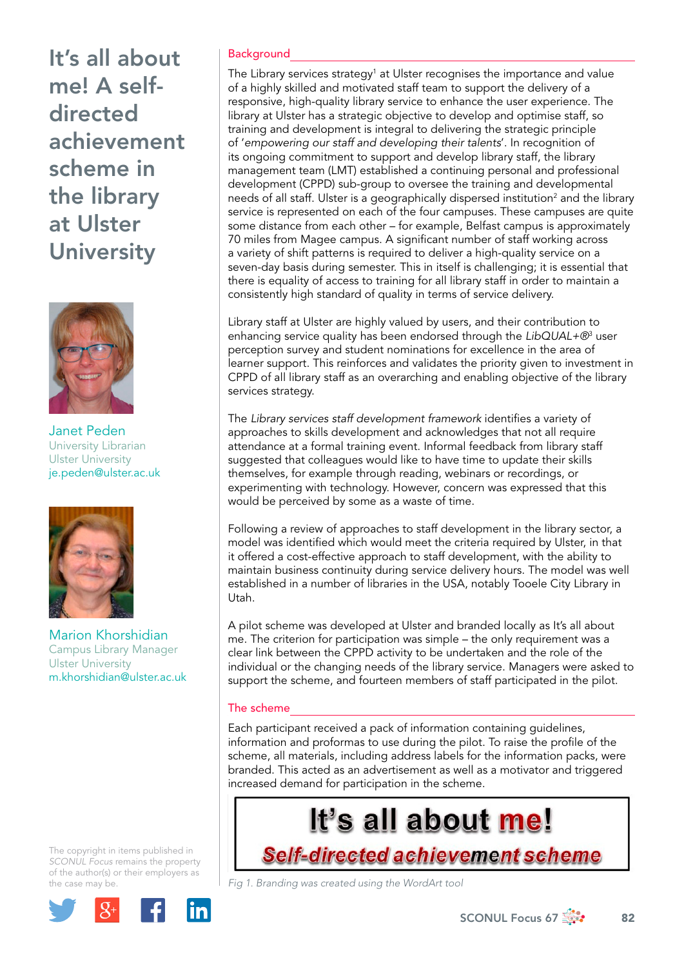

Janet Peden University Librarian Ulster University [je.peden@ulster.ac.uk](mailto:je.peden@ulster.ac.uk)



Marion Khorshidian Campus Library Manager Ulster University [m.khorshidian@ulster.ac.uk](mailto:m.khorshidian@ulster.ac.uk)

The copyright in items published in *SCONUL Focus* remains the property of the author(s) or their employers as the case may be.



# **Background**

The Library services strategy<sup>1</sup> at Ulster recognises the importance and value of a highly skilled and motivated staff team to support the delivery of a responsive, high-quality library service to enhance the user experience. The library at Ulster has a strategic objective to develop and optimise staff, so training and development is integral to delivering the strategic principle of '*empowering our staff and developing their talents*'. In recognition of its ongoing commitment to support and develop library staff, the library management team (LMT) established a continuing personal and professional development (CPPD) sub-group to oversee the training and developmental needs of all staff. Ulster is a geographically dispersed institution<sup>2</sup> and the library service is represented on each of the four campuses. These campuses are quite some distance from each other – for example, Belfast campus is approximately 70 miles from Magee campus. A significant number of staff working across a variety of shift patterns is required to deliver a high-quality service on a seven-day basis during semester. This in itself is challenging; it is essential that there is equality of access to training for all library staff in order to maintain a consistently high standard of quality in terms of service delivery.

Library staff at Ulster are highly valued by users, and their contribution to enhancing service quality has been endorsed through the *LibQUAL+®*<sup>3</sup> user perception survey and student nominations for excellence in the area of learner support. This reinforces and validates the priority given to investment in CPPD of all library staff as an overarching and enabling objective of the library services strategy.

The *Library services staff development framework* identifies a variety of approaches to skills development and acknowledges that not all require attendance at a formal training event. Informal feedback from library staff suggested that colleagues would like to have time to update their skills themselves, for example through reading, webinars or recordings, or experimenting with technology. However, concern was expressed that this would be perceived by some as a waste of time.

Following a review of approaches to staff development in the library sector, a model was identified which would meet the criteria required by Ulster, in that it offered a cost-effective approach to staff development, with the ability to maintain business continuity during service delivery hours. The model was well established in a number of libraries in the USA, notably Tooele City Library in Utah.

A pilot scheme was developed at Ulster and branded locally as It's all about me. The criterion for participation was simple – the only requirement was a clear link between the CPPD activity to be undertaken and the role of the individual or the changing needs of the library service. Managers were asked to support the scheme, and fourteen members of staff participated in the pilot.

# The scheme

Each participant received a pack of information containing guidelines, information and proformas to use during the pilot. To raise the profile of the scheme, all materials, including address labels for the information packs, were branded. This acted as an advertisement as well as a motivator and triggered increased demand for participation in the scheme.

# It's all about me!

Self-directed achievement scheme

*Fig 1. Branding was created using the WordArt tool* 

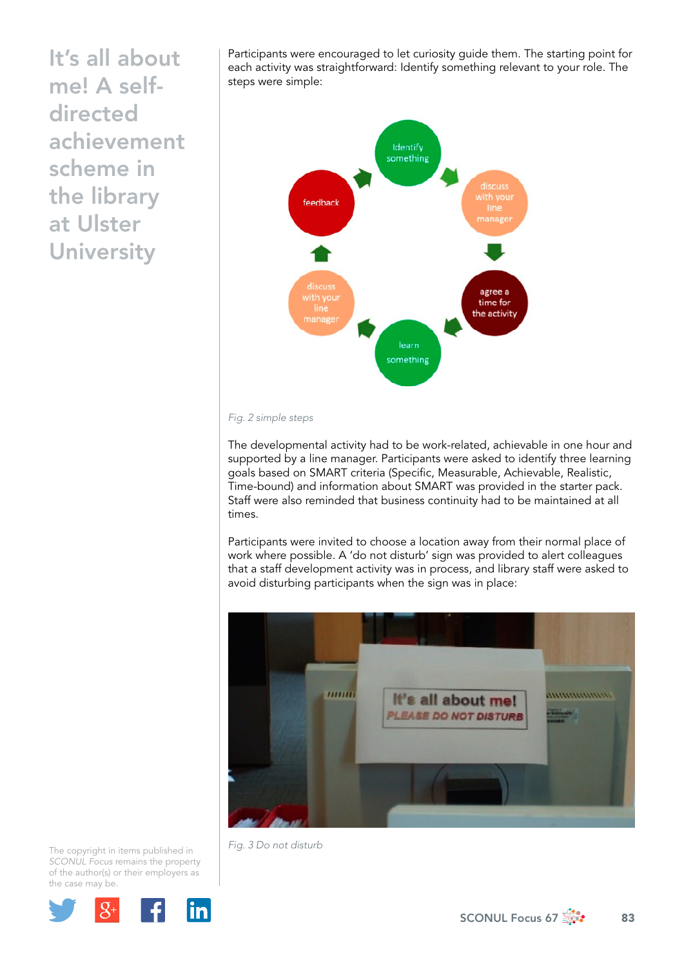Participants were encouraged to let curiosity guide them. The starting point for each activity was straightforward: Identify something relevant to your role. The steps were simple:



#### *Fig. 2 simple steps*

The developmental activity had to be work-related, achievable in one hour and supported by a line manager. Participants were asked to identify three learning goals based on SMART criteria (Specific, Measurable, Achievable, Realistic, Time-bound) and information about SMART was provided in the starter pack. Staff were also reminded that business continuity had to be maintained at all times.

Participants were invited to choose a location away from their normal place of work where possible. A 'do not disturb' sign was provided to alert colleagues that a staff development activity was in process, and library staff were asked to avoid disturbing participants when the sign was in place:



The copyright in items published in *SCONUL Focus* remains the property of the author(s) or their employers as the case may be.



*Fig. 3 Do not disturb* 

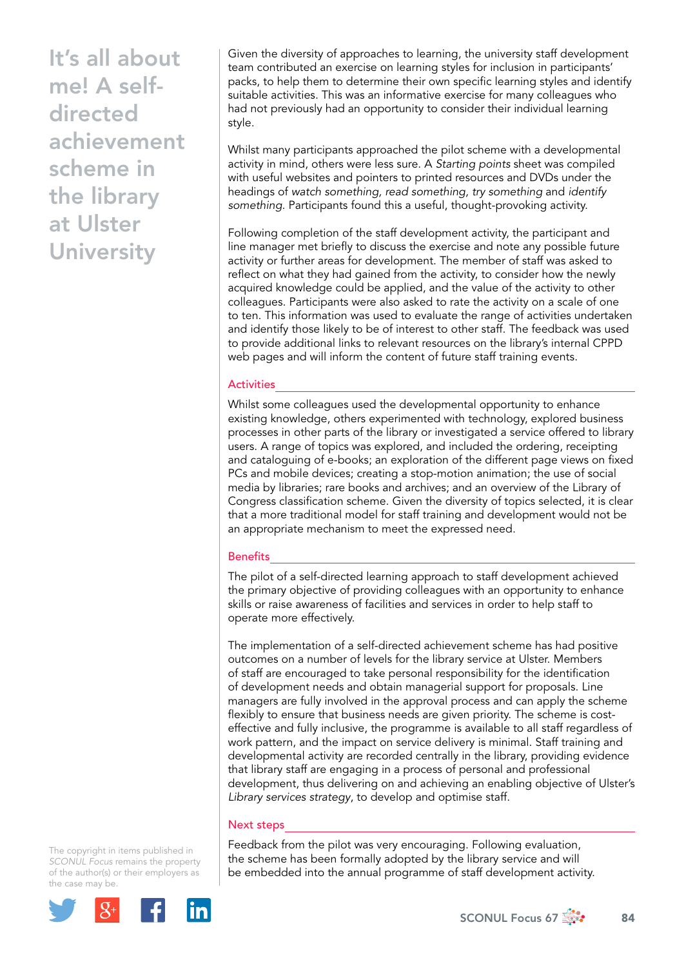Given the diversity of approaches to learning, the university staff development team contributed an exercise on learning styles for inclusion in participants' packs, to help them to determine their own specific learning styles and identify suitable activities. This was an informative exercise for many colleagues who had not previously had an opportunity to consider their individual learning style.

Whilst many participants approached the pilot scheme with a developmental activity in mind, others were less sure. A *Starting points* sheet was compiled with useful websites and pointers to printed resources and DVDs under the headings of *watch something, read something, try something* and *identify something*. Participants found this a useful, thought-provoking activity.

Following completion of the staff development activity, the participant and line manager met briefly to discuss the exercise and note any possible future activity or further areas for development. The member of staff was asked to reflect on what they had gained from the activity, to consider how the newly acquired knowledge could be applied, and the value of the activity to other colleagues. Participants were also asked to rate the activity on a scale of one to ten. This information was used to evaluate the range of activities undertaken and identify those likely to be of interest to other staff. The feedback was used to provide additional links to relevant resources on the library's internal CPPD web pages and will inform the content of future staff training events.

## **Activities**

Whilst some colleagues used the developmental opportunity to enhance existing knowledge, others experimented with technology, explored business processes in other parts of the library or investigated a service offered to library users. A range of topics was explored, and included the ordering, receipting and cataloguing of e-books; an exploration of the different page views on fixed PCs and mobile devices; creating a stop-motion animation; the use of social media by libraries; rare books and archives; and an overview of the Library of Congress classification scheme. Given the diversity of topics selected, it is clear that a more traditional model for staff training and development would not be an appropriate mechanism to meet the expressed need.

#### **Benefits**

The pilot of a self-directed learning approach to staff development achieved the primary objective of providing colleagues with an opportunity to enhance skills or raise awareness of facilities and services in order to help staff to operate more effectively.

The implementation of a self-directed achievement scheme has had positive outcomes on a number of levels for the library service at Ulster. Members of staff are encouraged to take personal responsibility for the identification of development needs and obtain managerial support for proposals. Line managers are fully involved in the approval process and can apply the scheme flexibly to ensure that business needs are given priority. The scheme is costeffective and fully inclusive, the programme is available to all staff regardless of work pattern, and the impact on service delivery is minimal. Staff training and developmental activity are recorded centrally in the library, providing evidence that library staff are engaging in a process of personal and professional development, thus delivering on and achieving an enabling objective of Ulster's *Library services strategy*, to develop and optimise staff.

### Next steps

Feedback from the pilot was very encouraging. Following evaluation, the scheme has been formally adopted by the library service and will be embedded into the annual programme of staff development activity.

The copyright in items published in *SCONUL Focus* remains the property of the author(s) or their employers as the case may be.